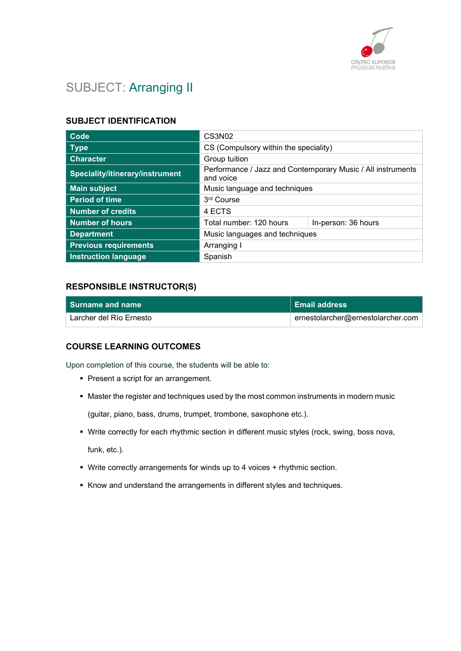

# SUBJECT: Arranging II

#### SUBJECT IDENTIFICATION

| Code                                   | CS3N <sub>02</sub>                                                       |                     |
|----------------------------------------|--------------------------------------------------------------------------|---------------------|
| <b>Type</b>                            | CS (Compulsory within the speciality)                                    |                     |
| <b>Character</b>                       | Group tuition                                                            |                     |
| <b>Speciality/itinerary/instrument</b> | Performance / Jazz and Contemporary Music / All instruments<br>and voice |                     |
| <b>Main subject</b>                    | Music language and techniques                                            |                     |
| <b>Period of time</b>                  | 3 <sup>rd</sup> Course                                                   |                     |
| Number of credits                      | 4 ECTS                                                                   |                     |
| <b>Number of hours</b>                 | Total number: 120 hours                                                  | In-person: 36 hours |
| <b>Department</b>                      | Music languages and techniques                                           |                     |
| <b>Previous requirements</b>           | Arranging I                                                              |                     |
| <b>Instruction language</b>            | Spanish                                                                  |                     |

#### RESPONSIBLE INSTRUCTOR(S)

| <b>Surname and name</b> | <b>Email address</b>              |
|-------------------------|-----------------------------------|
| Larcher del Río Ernesto | ernestolarcher@ernestolarcher.com |

#### COURSE LEARNING OUTCOMES

Upon completion of this course, the students will be able to:

- **Present a script for an arrangement.**
- Master the register and techniques used by the most common instruments in modern music

(guitar, piano, bass, drums, trumpet, trombone, saxophone etc.).

- Write correctly for each rhythmic section in different music styles (rock, swing, boss nova, funk, etc.).
- Write correctly arrangements for winds up to 4 voices + rhythmic section.
- Know and understand the arrangements in different styles and techniques.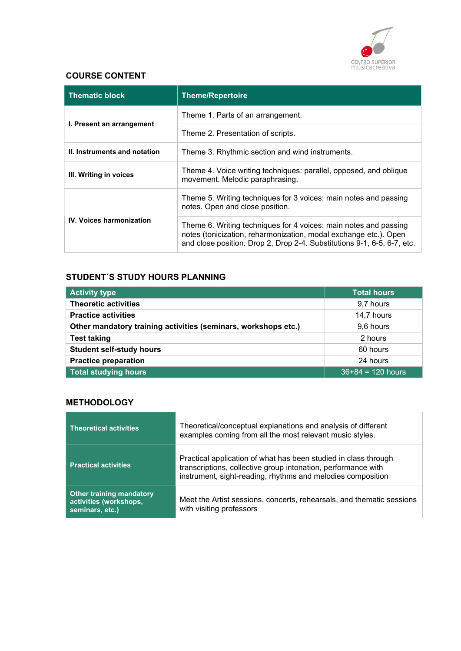

### COURSE CONTENT

| <b>Thematic block</b>           | <b>Theme/Repertoire</b>                                                                                                                                                                                         |
|---------------------------------|-----------------------------------------------------------------------------------------------------------------------------------------------------------------------------------------------------------------|
| I. Present an arrangement       | Theme 1. Parts of an arrangement.                                                                                                                                                                               |
|                                 | Theme 2. Presentation of scripts.                                                                                                                                                                               |
| II. Instruments and notation    | Theme 3. Rhythmic section and wind instruments.                                                                                                                                                                 |
| III. Writing in voices          | Theme 4. Voice writing techniques: parallel, opposed, and oblique<br>movement. Melodic paraphrasing.                                                                                                            |
| <b>IV. Voices harmonization</b> | Theme 5. Writing techniques for 3 voices: main notes and passing<br>notes. Open and close position.                                                                                                             |
|                                 | Theme 6. Writing techniques for 4 voices: main notes and passing<br>notes (tonicization, reharmonization, modal exchange etc.). Open<br>and close position. Drop 2, Drop 2-4. Substitutions 9-1, 6-5, 6-7, etc. |

### STUDENT´S STUDY HOURS PLANNING

| <b>Activity type</b>                                           | <b>Total hours</b>  |
|----------------------------------------------------------------|---------------------|
| <b>Theoretic activities</b>                                    | 9,7 hours           |
| <b>Practice activities</b>                                     | 14,7 hours          |
| Other mandatory training activities (seminars, workshops etc.) | 9,6 hours           |
| <b>Test taking</b>                                             | 2 hours             |
| <b>Student self-study hours</b>                                | 60 hours            |
| <b>Practice preparation</b>                                    | 24 hours            |
| Total studying hours                                           | $36+84 = 120$ hours |

### **METHODOLOGY**

| <b>Theoretical activities</b>                                                | Theoretical/conceptual explanations and analysis of different<br>examples coming from all the most relevant music styles.                                                                       |
|------------------------------------------------------------------------------|-------------------------------------------------------------------------------------------------------------------------------------------------------------------------------------------------|
| <b>Practical activities</b>                                                  | Practical application of what has been studied in class through<br>transcriptions, collective group intonation, performance with<br>instrument, sight-reading, rhythms and melodies composition |
| <b>Other training mandatory</b><br>activities (workshops,<br>seminars, etc.) | Meet the Artist sessions, concerts, rehearsals, and thematic sessions<br>with visiting professors                                                                                               |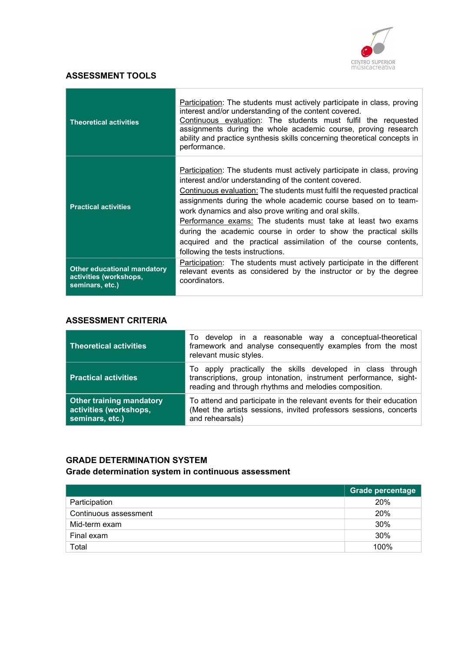

### ASSESSMENT TOOLS

| <b>Theoretical activities</b>                                                   | Participation: The students must actively participate in class, proving<br>interest and/or understanding of the content covered.<br>Continuous evaluation: The students must fulfil the requested<br>assignments during the whole academic course, proving research<br>ability and practice synthesis skills concerning theoretical concepts in<br>performance.                                                                                                                                                                                                                           |
|---------------------------------------------------------------------------------|-------------------------------------------------------------------------------------------------------------------------------------------------------------------------------------------------------------------------------------------------------------------------------------------------------------------------------------------------------------------------------------------------------------------------------------------------------------------------------------------------------------------------------------------------------------------------------------------|
| <b>Practical activities</b>                                                     | <b>Participation:</b> The students must actively participate in class, proving<br>interest and/or understanding of the content covered.<br>Continuous evaluation: The students must fulfil the requested practical<br>assignments during the whole academic course based on to team-<br>work dynamics and also prove writing and oral skills.<br>Performance exams: The students must take at least two exams<br>during the academic course in order to show the practical skills<br>acquired and the practical assimilation of the course contents,<br>following the tests instructions. |
| <b>Other educational mandatory</b><br>activities (workshops,<br>seminars, etc.) | Participation: The students must actively participate in the different<br>relevant events as considered by the instructor or by the degree<br>coordinators.                                                                                                                                                                                                                                                                                                                                                                                                                               |

### ASSESSMENT CRITERIA

| <b>Theoretical activities</b>                                                | To develop in a reasonable way a conceptual-theoretical<br>framework and analyse consequently examples from the most<br>relevant music styles.                                          |
|------------------------------------------------------------------------------|-----------------------------------------------------------------------------------------------------------------------------------------------------------------------------------------|
| <b>Practical activities</b>                                                  | To apply practically the skills developed in class through<br>transcriptions, group intonation, instrument performance, sight-<br>reading and through rhythms and melodies composition. |
| <b>Other training mandatory</b><br>activities (workshops,<br>seminars, etc.) | To attend and participate in the relevant events for their education<br>(Meet the artists sessions, invited professors sessions, concerts<br>and rehearsals)                            |

### GRADE DETERMINATION SYSTEM Grade determination system in continuous assessment

|                       | <b>Grade percentage</b> |
|-----------------------|-------------------------|
| Participation         | 20%                     |
| Continuous assessment | 20%                     |
| Mid-term exam         | 30%                     |
| Final exam            | 30%                     |
| Total                 | 100%                    |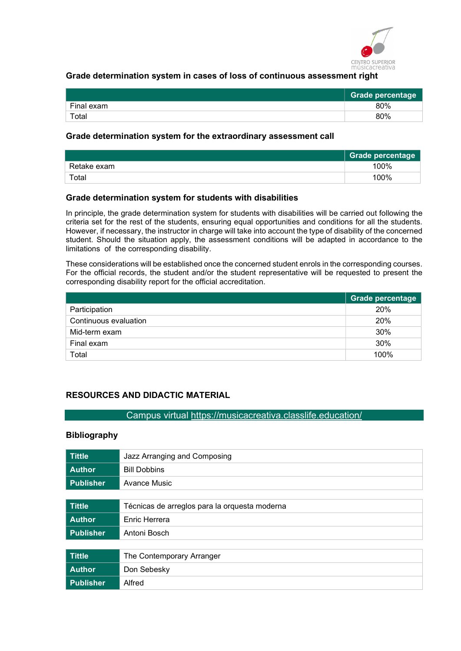

#### Grade determination system in cases of loss of continuous assessment right

|            | <b>Grade percentage</b> |
|------------|-------------------------|
| Final exam | 80%                     |
| Total      | 80%                     |

#### Grade determination system for the extraordinary assessment call

|             | Grade percentage |
|-------------|------------------|
| Retake exam | 100%             |
| $\tau$ otal | 100%             |

#### Grade determination system for students with disabilities

In principle, the grade determination system for students with disabilities will be carried out following the criteria set for the rest of the students, ensuring equal opportunities and conditions for all the students. However, if necessary, the instructor in charge will take into account the type of disability of the concerned student. Should the situation apply, the assessment conditions will be adapted in accordance to the limitations of the corresponding disability.

These considerations will be established once the concerned student enrols in the corresponding courses. For the official records, the student and/or the student representative will be requested to present the corresponding disability report for the official accreditation.

|                       | Grade percentage |
|-----------------------|------------------|
| Participation         | 20%              |
| Continuous evaluation | 20%              |
| Mid-term exam         | 30%              |
| Final exam            | 30%              |
| Total                 | 100%             |

### RESOURCES AND DIDACTIC MATERIAL

#### Campus virtual https://musicacreativa.classlife.education/

#### Bibliography

| <b>Tittle</b>    | Jazz Arranging and Composing                  |
|------------------|-----------------------------------------------|
| <b>Author</b>    | <b>Bill Dobbins</b>                           |
| <b>Publisher</b> | Avance Music                                  |
|                  |                                               |
| <b>Tittle</b>    | Técnicas de arreglos para la orquesta moderna |
| <b>Author</b>    | Enric Herrera                                 |
| <b>Publisher</b> | Antoni Bosch                                  |
|                  |                                               |
| <b>Tittle</b>    | The Contemporary Arranger                     |
| <b>Author</b>    | Don Sebesky                                   |
| <b>Publisher</b> | Alfred                                        |